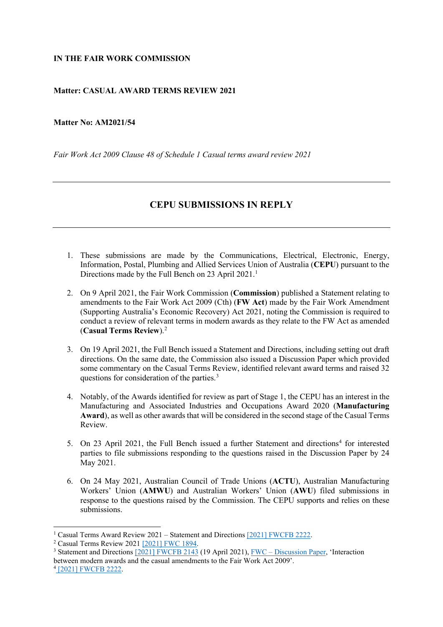## **IN THE FAIR WORK COMMISSION**

## **Matter: CASUAL AWARD TERMS REVIEW 2021**

## **Matter No: AM2021/54**

*Fair Work Act 2009 Clause 48 of Schedule 1 Casual terms award review 2021*

## **CEPU SUBMISSIONS IN REPLY**

- 1. These submissions are made by the Communications, Electrical, Electronic, Energy, Information, Postal, Plumbing and Allied Services Union of Australia (**CEPU**) pursuant to the Directions made by the Full Bench on 23 April 202[1](#page-0-0).<sup>1</sup>
- 2. On 9 April 2021, the Fair Work Commission (**Commission**) published a Statement relating to amendments to the Fair Work Act 2009 (Cth) (**FW Act**) made by the Fair Work Amendment (Supporting Australia's Economic Recovery) Act 2021, noting the Commission is required to conduct a review of relevant terms in modern awards as they relate to the FW Act as amended (**Casual Terms Review**).[2](#page-0-1)
- 3. On 19 April 2021, the Full Bench issued a Statement and Directions, including setting out draft directions. On the same date, the Commission also issued a Discussion Paper which provided some commentary on the Casual Terms Review, identified relevant award terms and raised 32 questions for consideration of the parties.[3](#page-0-2)
- 4. Notably, of the Awards identified for review as part of Stage 1, the CEPU has an interest in the Manufacturing and Associated Industries and Occupations Award 2020 (**Manufacturing Award**), as well as other awards that will be considered in the second stage of the Casual Terms Review.
- 5. On 23 April 2021, the Full Bench issued a further Statement and directions<sup>[4](#page-0-3)</sup> for interested parties to file submissions responding to the questions raised in the Discussion Paper by 24 May 2021.
- 6. On 24 May 2021, Australian Council of Trade Unions (**ACTU**), Australian Manufacturing Workers' Union (**AMWU**) and Australian Workers' Union (**AWU**) filed submissions in response to the questions raised by the Commission. The CEPU supports and relies on these submissions.

<sup>&</sup>lt;sup>1</sup> Casual Terms Award Review 2021 – Statement and Directions [\[2021\] FWCFB 2222.](https://www.fwc.gov.au/documents/decisionssigned/html/2021fwcfb2222.htm)

<span id="page-0-1"></span><span id="page-0-0"></span><sup>&</sup>lt;sup>2</sup> Casual Terms Review 2021 [\[2021\] FWC 1894.](https://www.fwc.gov.au/documents/decisionssigned/html/2021fwc1894.htm)

<span id="page-0-3"></span><span id="page-0-2"></span><sup>&</sup>lt;sup>3</sup> Statement and Directions  $\sqrt{2021}$  FWCFB 2143 (19 April 2021), FWC – [Discussion Paper,](https://www.fwc.gov.au/documents/sites/casual-terms-review/background/am2021-54-discussion-paper-2021-04-19.pdf) 'Interaction between modern awards and the casual amendments to the Fair Work Act 2009'. <sup>4</sup> [\[2021\] FWCFB 2222.](https://www.fwc.gov.au/documents/decisionssigned/html/2021fwcfb2222.htm)